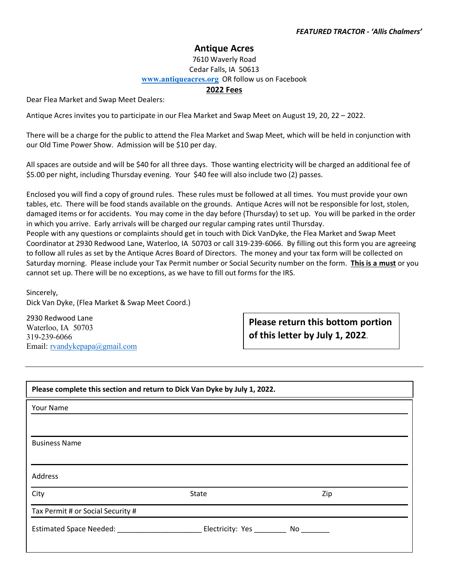## **Antique Acres**

## 7610 Waverly Road Cedar Falls, IA 50613 **[www.antiqueacres.org](http://www.antiqueacres.org/)** OR follow us on Facebook

## **2022 Fees**

Dear Flea Market and Swap Meet Dealers:

Antique Acres invites you to participate in our Flea Market and Swap Meet on August 19, 20, 22 – 2022.

There will be a charge for the public to attend the Flea Market and Swap Meet, which will be held in conjunction with our Old Time Power Show. Admission will be \$10 per day.

All spaces are outside and will be \$40 for all three days. Those wanting electricity will be charged an additional fee of \$5.00 per night, including Thursday evening. Your \$40 fee will also include two (2) passes.

Enclosed you will find a copy of ground rules. These rules must be followed at all times. You must provide your own tables, etc. There will be food stands available on the grounds. Antique Acres will not be responsible for lost, stolen, damaged items or for accidents. You may come in the day before (Thursday) to set up. You will be parked in the order in which you arrive. Early arrivals will be charged our regular camping rates until Thursday.

People with any questions or complaints should get in touch with Dick VanDyke, the Flea Market and Swap Meet Coordinator at 2930 Redwood Lane, Waterloo, IA 50703 or call 319-239-6066. By filling out this form you are agreeing to follow all rules as set by the Antique Acres Board of Directors. The money and your tax form will be collected on Saturday morning. Please include your Tax Permit number or Social Security number on the form. **This is a must** or you cannot set up. There will be no exceptions, as we have to fill out forms for the IRS.

Sincerely, Dick Van Dyke, (Flea Market & Swap Meet Coord.)

2930 Redwood Lane Waterloo, IA 50703 319-239-6066 Email: [rvandykepapa@gmail.com](mailto:rvandykepapa@gmail.com)

**Please return this bottom portion of this letter by July 1, 2022**.

| Please complete this section and return to Dick Van Dyke by July 1, 2022. |                     |     |
|---------------------------------------------------------------------------|---------------------|-----|
| Your Name                                                                 |                     |     |
|                                                                           |                     |     |
| <b>Business Name</b>                                                      |                     |     |
| <b>Address</b>                                                            |                     |     |
| City                                                                      | State               | Zip |
| Tax Permit # or Social Security #                                         |                     |     |
| Estimated Space Needed: Marketing Marketing                               | Electricity: Yes No |     |